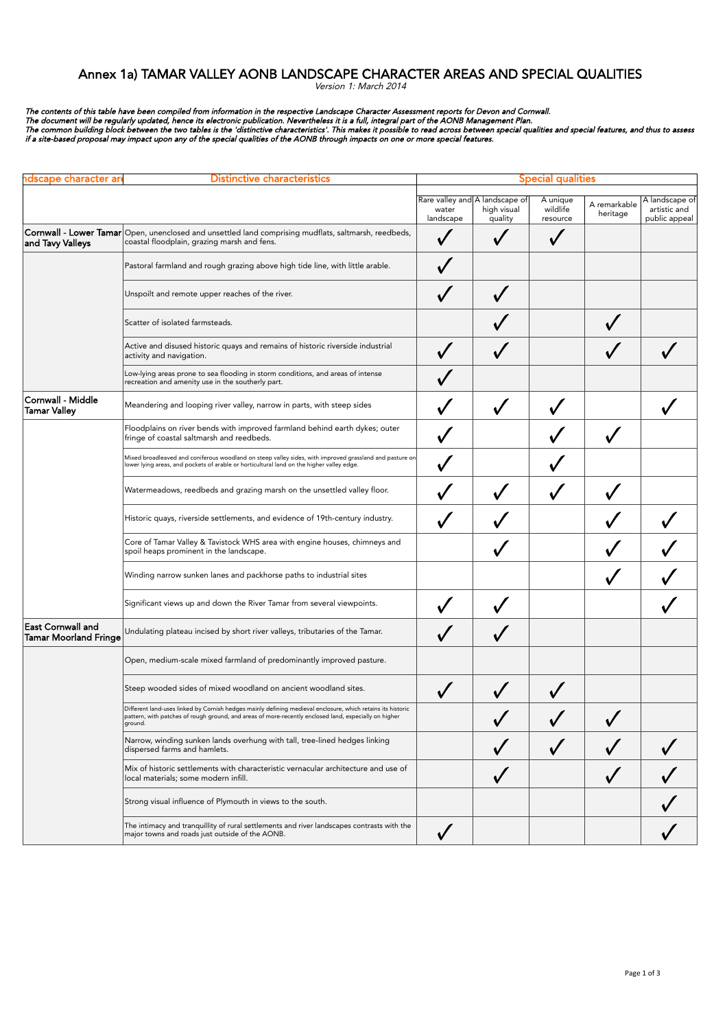## Annex 1a) TAMAR VALLEY AONB LANDSCAPE CHARACTER AREAS AND SPECIAL QUALITIES

Version 1: March 2014

The contents of this table have been compiled from information in the respective Landscape Character Assessment reports for Devon and Cornwall.<br>The document will be regularly updated, hence its electronic publication. Neve

| ndscape character ar                                     | Distinctive characteristics                                                                                                                                                                                                     | <b>Special qualities</b> |                                                          |                                  |                          |                                                 |
|----------------------------------------------------------|---------------------------------------------------------------------------------------------------------------------------------------------------------------------------------------------------------------------------------|--------------------------|----------------------------------------------------------|----------------------------------|--------------------------|-------------------------------------------------|
|                                                          |                                                                                                                                                                                                                                 | water<br>landscape       | Rare valley and A landscape of<br>high visual<br>quality | A unique<br>wildlife<br>resource | A remarkable<br>heritage | A landscape of<br>artistic and<br>public appeal |
| and Tavy Valleys                                         | Cornwall - Lower Tamar Open, unenclosed and unsettled land comprising mudflats, saltmarsh, reedbeds,<br>coastal floodplain, grazing marsh and fens.                                                                             |                          |                                                          |                                  |                          |                                                 |
|                                                          | Pastoral farmland and rough grazing above high tide line, with little arable.                                                                                                                                                   |                          |                                                          |                                  |                          |                                                 |
|                                                          | Unspoilt and remote upper reaches of the river.                                                                                                                                                                                 |                          |                                                          |                                  |                          |                                                 |
|                                                          | Scatter of isolated farmsteads.                                                                                                                                                                                                 |                          |                                                          |                                  |                          |                                                 |
|                                                          | Active and disused historic quays and remains of historic riverside industrial<br>activity and navigation.                                                                                                                      |                          |                                                          |                                  |                          |                                                 |
|                                                          | Low-lying areas prone to sea flooding in storm conditions, and areas of intense<br>recreation and amenity use in the southerly part.                                                                                            |                          |                                                          |                                  |                          |                                                 |
| Cornwall - Middle<br><b>Tamar Valley</b>                 | Meandering and looping river valley, narrow in parts, with steep sides                                                                                                                                                          |                          |                                                          |                                  |                          |                                                 |
|                                                          | Floodplains on river bends with improved farmland behind earth dykes; outer<br>fringe of coastal saltmarsh and reedbeds.                                                                                                        |                          |                                                          |                                  |                          |                                                 |
|                                                          | Mixed broadleaved and coniferous woodland on steep valley sides, with improved grassland and pasture on<br>lower lying areas, and pockets of arable or horticultural land on the higher valley edge.                            |                          |                                                          |                                  |                          |                                                 |
|                                                          | Watermeadows, reedbeds and grazing marsh on the unsettled valley floor.                                                                                                                                                         |                          |                                                          |                                  |                          |                                                 |
|                                                          | Historic quays, riverside settlements, and evidence of 19th-century industry.                                                                                                                                                   |                          |                                                          |                                  |                          |                                                 |
|                                                          | Core of Tamar Valley & Tavistock WHS area with engine houses, chimneys and<br>spoil heaps prominent in the landscape.                                                                                                           |                          |                                                          |                                  |                          |                                                 |
|                                                          | Winding narrow sunken lanes and packhorse paths to industrial sites                                                                                                                                                             |                          |                                                          |                                  |                          |                                                 |
|                                                          | Significant views up and down the River Tamar from several viewpoints.                                                                                                                                                          |                          |                                                          |                                  |                          |                                                 |
| <b>East Cornwall and</b><br><b>Tamar Moorland Fringe</b> | Undulating plateau incised by short river valleys, tributaries of the Tamar.                                                                                                                                                    |                          |                                                          |                                  |                          |                                                 |
|                                                          | Open, medium-scale mixed farmland of predominantly improved pasture.                                                                                                                                                            |                          |                                                          |                                  |                          |                                                 |
|                                                          | Steep wooded sides of mixed woodland on ancient woodland sites.                                                                                                                                                                 |                          |                                                          |                                  |                          |                                                 |
|                                                          | Different land-uses linked by Cornish hedges mainly defining medieval enclosure, which retains its historic<br>pattern, with patches of rough ground, and areas of more-recently enclosed land, especially on higher<br>ground. |                          |                                                          |                                  |                          |                                                 |
|                                                          | Narrow, winding sunken lands overhung with tall, tree-lined hedges linking<br>dispersed farms and hamlets.                                                                                                                      |                          |                                                          |                                  |                          |                                                 |
|                                                          | Mix of historic settlements with characteristic vernacular architecture and use of<br>local materials; some modern infill.                                                                                                      |                          |                                                          |                                  |                          |                                                 |
|                                                          | Strong visual influence of Plymouth in views to the south.                                                                                                                                                                      |                          |                                                          |                                  |                          |                                                 |
|                                                          | The intimacy and tranquillity of rural settlements and river landscapes contrasts with the<br>major towns and roads just outside of the AONB.                                                                                   | $\checkmark$             |                                                          |                                  |                          |                                                 |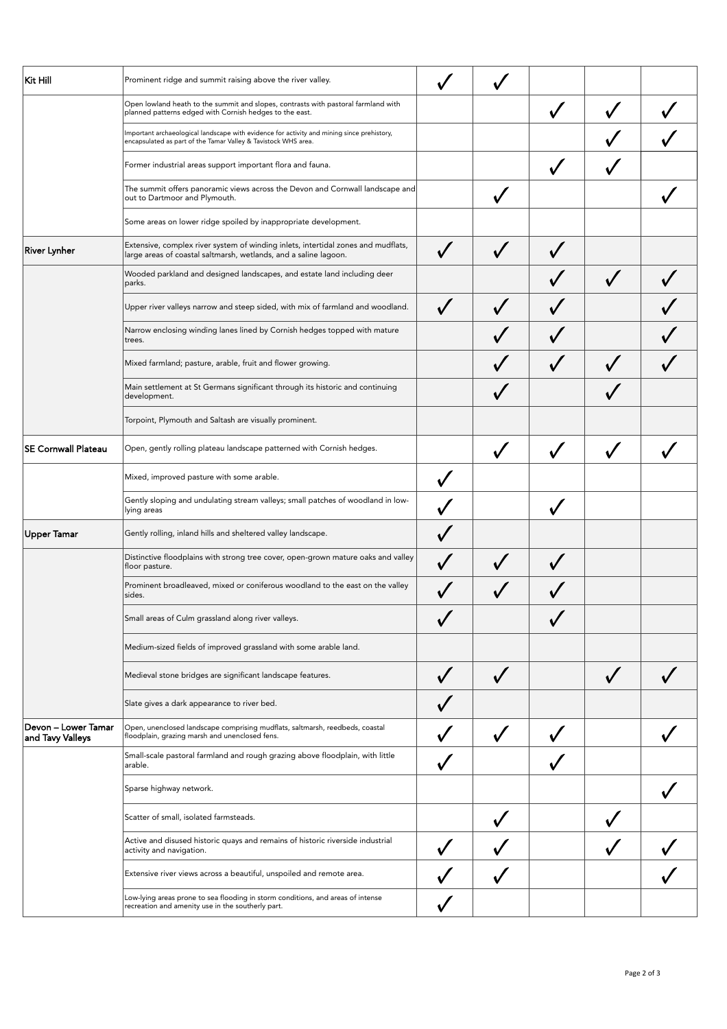| Kit Hill                                | Prominent ridge and summit raising above the river valley.                                                                                                   |                         |  |  |
|-----------------------------------------|--------------------------------------------------------------------------------------------------------------------------------------------------------------|-------------------------|--|--|
|                                         | Open lowland heath to the summit and slopes, contrasts with pastoral farmland with<br>planned patterns edged with Cornish hedges to the east.                |                         |  |  |
|                                         | Important archaeological landscape with evidence for activity and mining since prehistory,<br>encapsulated as part of the Tamar Valley & Tavistock WHS area. |                         |  |  |
|                                         | Former industrial areas support important flora and fauna.                                                                                                   |                         |  |  |
|                                         | The summit offers panoramic views across the Devon and Cornwall landscape and<br>out to Dartmoor and Plymouth.                                               |                         |  |  |
|                                         | Some areas on lower ridge spoiled by inappropriate development.                                                                                              |                         |  |  |
| <b>River Lynher</b>                     | Extensive, complex river system of winding inlets, intertidal zones and mudflats,<br>large areas of coastal saltmarsh, wetlands, and a saline lagoon.        |                         |  |  |
|                                         | Wooded parkland and designed landscapes, and estate land including deer<br> parks.                                                                           |                         |  |  |
|                                         | Upper river valleys narrow and steep sided, with mix of farmland and woodland.                                                                               |                         |  |  |
|                                         | Narrow enclosing winding lanes lined by Cornish hedges topped with mature<br>trees.                                                                          |                         |  |  |
|                                         | Mixed farmland; pasture, arable, fruit and flower growing.                                                                                                   |                         |  |  |
|                                         | Main settlement at St Germans significant through its historic and continuing<br>development.                                                                |                         |  |  |
|                                         | Torpoint, Plymouth and Saltash are visually prominent.                                                                                                       |                         |  |  |
| <b>SE Cornwall Plateau</b>              | Open, gently rolling plateau landscape patterned with Cornish hedges.                                                                                        |                         |  |  |
|                                         | Mixed, improved pasture with some arable.                                                                                                                    | $\checkmark$            |  |  |
|                                         | Gently sloping and undulating stream valleys; small patches of woodland in low-<br>lying areas                                                               |                         |  |  |
| <b>Upper Tamar</b>                      | Gently rolling, inland hills and sheltered valley landscape.                                                                                                 |                         |  |  |
|                                         | Distinctive floodplains with strong tree cover, open-grown mature oaks and valley<br>floor pasture.                                                          |                         |  |  |
|                                         | Prominent broadleaved, mixed or coniferous woodland to the east on the valley<br>sides.                                                                      |                         |  |  |
|                                         | Small areas of Culm grassland along river valleys.                                                                                                           |                         |  |  |
|                                         | Medium-sized fields of improved grassland with some arable land.                                                                                             |                         |  |  |
|                                         | Medieval stone bridges are significant landscape features.                                                                                                   | $\overline{\mathsf{v}}$ |  |  |
|                                         | Slate gives a dark appearance to river bed.                                                                                                                  |                         |  |  |
| Devon – Lower Tamar<br>and Tavy Valleys | Open, unenclosed landscape comprising mudflats, saltmarsh, reedbeds, coastal<br>floodplain, grazing marsh and unenclosed fens.                               |                         |  |  |
|                                         | Small-scale pastoral farmland and rough grazing above floodplain, with little<br>arable.                                                                     |                         |  |  |
|                                         | Sparse highway network.                                                                                                                                      |                         |  |  |
|                                         | Scatter of small, isolated farmsteads.                                                                                                                       |                         |  |  |
|                                         | Active and disused historic quays and remains of historic riverside industrial<br>activity and navigation.                                                   |                         |  |  |
|                                         | Extensive river views across a beautiful, unspoiled and remote area.                                                                                         |                         |  |  |
|                                         | Low-lying areas prone to sea flooding in storm conditions, and areas of intense<br>recreation and amenity use in the southerly part.                         |                         |  |  |